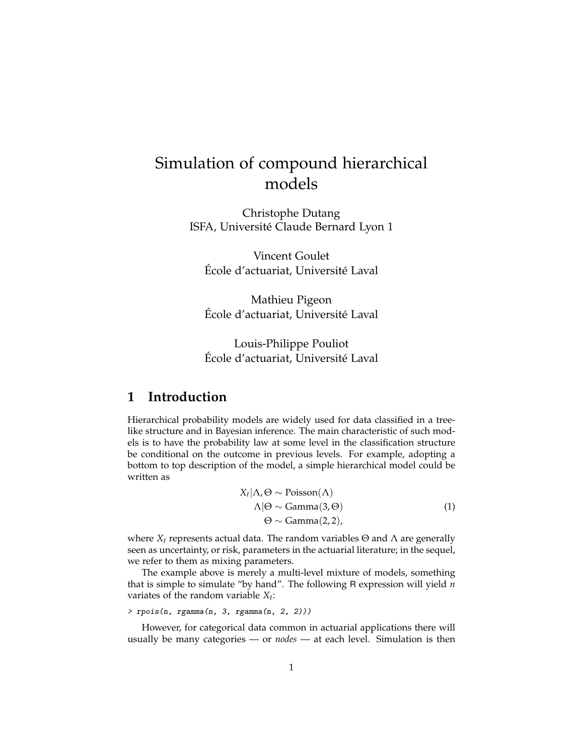# Simulation of compound hierarchical models

Christophe Dutang ISFA, Université Claude Bernard Lyon 1

Vincent Goulet École d'actuariat, Université Laval

Mathieu Pigeon École d'actuariat, Université Laval

Louis-Philippe Pouliot École d'actuariat, Université Laval

#### **1 Introduction**

Hierarchical probability models are widely used for data classified in a treelike structure and in Bayesian inference. The main characteristic of such models is to have the probability law at some level in the classification structure be conditional on the outcome in previous levels. For example, adopting a bottom to top description of the model, a simple hierarchical model could be written as

$$
X_t | \Lambda, \Theta \sim \text{Poisson}(\Lambda)
$$
  
 
$$
\Lambda | \Theta \sim \text{Gamma}(3, \Theta)
$$
  
 
$$
\Theta \sim \text{Gamma}(2, 2),
$$
 (1)

<span id="page-0-0"></span>where  $X_t$  represents actual data. The random variables  $\Theta$  and  $\Lambda$  are generally seen as uncertainty, or risk, parameters in the actuarial literature; in the sequel, we refer to them as mixing parameters.

The example above is merely a multi-level mixture of models, something that is simple to simulate "by hand". The following R expression will yield *n* variates of the random variable *X<sup>t</sup>* :

```
> rpois(n, rgamma(n, 3, rgamma(n, 2, 2)))
```
However, for categorical data common in actuarial applications there will usually be many categories — or *nodes* — at each level. Simulation is then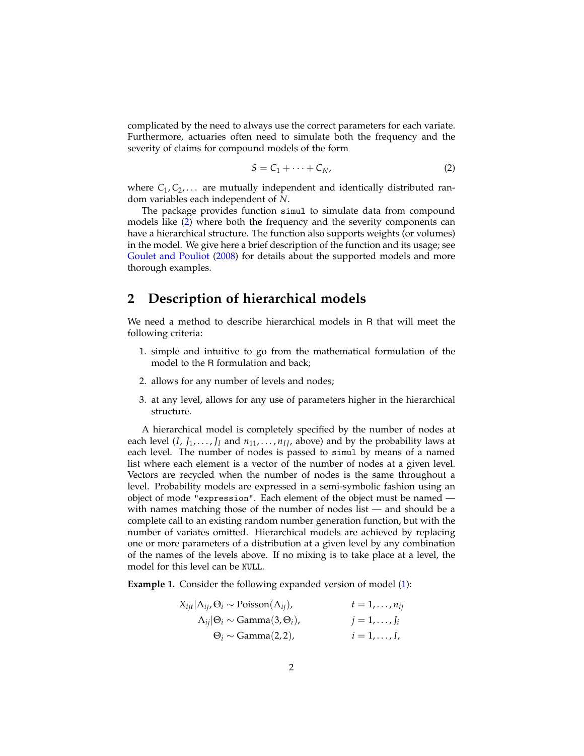complicated by the need to always use the correct parameters for each variate. Furthermore, actuaries often need to simulate both the frequency and the severity of claims for compound models of the form

<span id="page-1-0"></span>
$$
S = C_1 + \dots + C_N,\tag{2}
$$

where  $C_1, C_2, \ldots$  are mutually independent and identically distributed random variables each independent of *N*.

The package provides function simul to simulate data from compound models like [\(2\)](#page-1-0) where both the frequency and the severity components can have a hierarchical structure. The function also supports weights (or volumes) in the model. We give here a brief description of the function and its usage; see [Goulet and Pouliot](#page-8-0) [\(2008\)](#page-8-0) for details about the supported models and more thorough examples.

## **2 Description of hierarchical models**

We need a method to describe hierarchical models in R that will meet the following criteria:

- 1. simple and intuitive to go from the mathematical formulation of the model to the R formulation and back;
- 2. allows for any number of levels and nodes;
- 3. at any level, allows for any use of parameters higher in the hierarchical structure.

A hierarchical model is completely specified by the number of nodes at each level  $(I, J_1, \ldots, J_I$  and  $n_{11}, \ldots, n_{II}$ , above) and by the probability laws at each level. The number of nodes is passed to simul by means of a named list where each element is a vector of the number of nodes at a given level. Vectors are recycled when the number of nodes is the same throughout a level. Probability models are expressed in a semi-symbolic fashion using an object of mode "expression". Each element of the object must be named with names matching those of the number of nodes list — and should be a complete call to an existing random number generation function, but with the number of variates omitted. Hierarchical models are achieved by replacing one or more parameters of a distribution at a given level by any combination of the names of the levels above. If no mixing is to take place at a level, the model for this level can be NULL.

**Example 1.** Consider the following expanded version of model [\(1\)](#page-0-0):

$$
X_{ijt} | \Lambda_{ij}, \Theta_i \sim \text{Poisson}(\Lambda_{ij}), \qquad t = 1, ..., n_{ij}
$$
  
\n
$$
\Lambda_{ij} | \Theta_i \sim \text{Gamma}(3, \Theta_i), \qquad j = 1, ..., J_i
$$
  
\n
$$
\Theta_i \sim \text{Gamma}(2, 2), \qquad i = 1, ..., I,
$$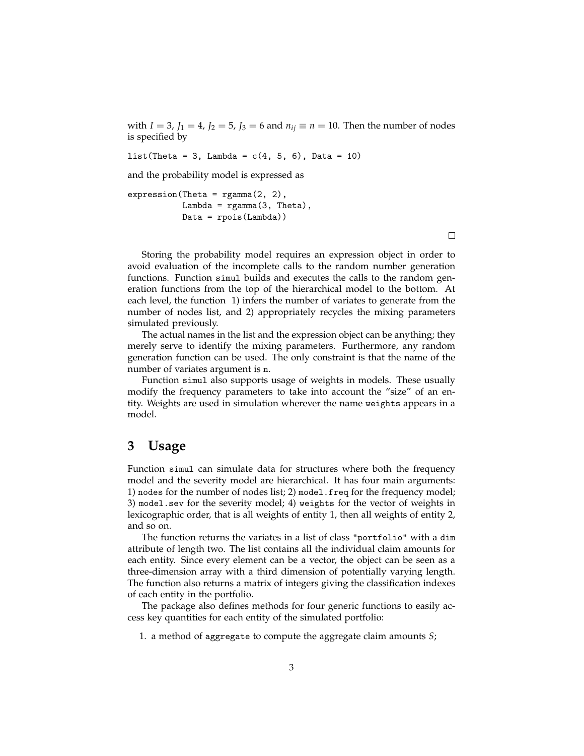with  $I = 3$ ,  $J_1 = 4$ ,  $J_2 = 5$ ,  $J_3 = 6$  and  $n_{ij} \equiv n = 10$ . Then the number of nodes is specified by

 $list(Theta = 3, Lambda = c(4, 5, 6), Data = 10)$ 

and the probability model is expressed as

```
expression(Theta = rgamma(2, 2),Lambda = rganma(3, Theta),
          Data = rpois(Lambda))
```
 $\Box$ 

Storing the probability model requires an expression object in order to avoid evaluation of the incomplete calls to the random number generation functions. Function simul builds and executes the calls to the random generation functions from the top of the hierarchical model to the bottom. At each level, the function 1) infers the number of variates to generate from the number of nodes list, and 2) appropriately recycles the mixing parameters simulated previously.

The actual names in the list and the expression object can be anything; they merely serve to identify the mixing parameters. Furthermore, any random generation function can be used. The only constraint is that the name of the number of variates argument is n.

Function simul also supports usage of weights in models. These usually modify the frequency parameters to take into account the "size" of an entity. Weights are used in simulation wherever the name weights appears in a model.

#### **3 Usage**

Function simul can simulate data for structures where both the frequency model and the severity model are hierarchical. It has four main arguments: 1) nodes for the number of nodes list; 2) model.freq for the frequency model; 3) model.sev for the severity model; 4) weights for the vector of weights in lexicographic order, that is all weights of entity 1, then all weights of entity 2, and so on.

The function returns the variates in a list of class "portfolio" with a dim attribute of length two. The list contains all the individual claim amounts for each entity. Since every element can be a vector, the object can be seen as a three-dimension array with a third dimension of potentially varying length. The function also returns a matrix of integers giving the classification indexes of each entity in the portfolio.

The package also defines methods for four generic functions to easily access key quantities for each entity of the simulated portfolio:

1. a method of aggregate to compute the aggregate claim amounts *S*;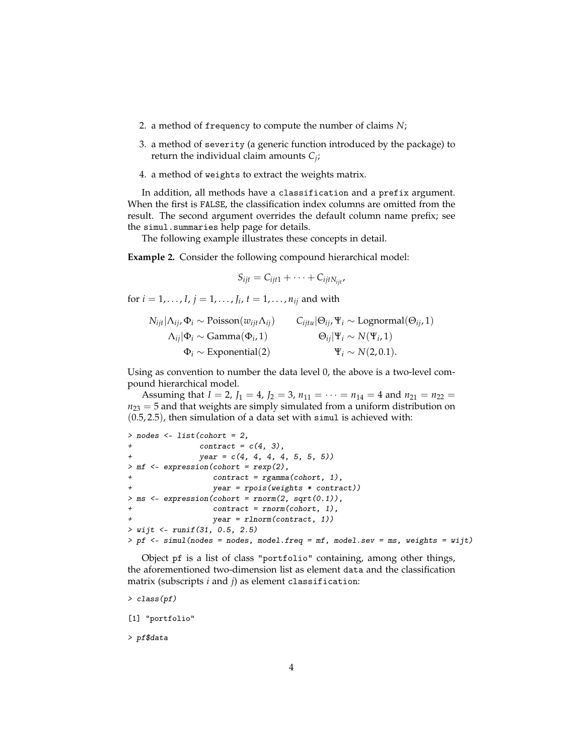- 2. a method of frequency to compute the number of claims *N*;
- 3. a method of severity (a generic function introduced by the package) to return the individual claim amounts *C<sup>j</sup>* ;
- 4. a method of weights to extract the weights matrix.

In addition, all methods have a classification and a prefix argument. When the first is FALSE, the classification index columns are omitted from the result. The second argument overrides the default column name prefix; see the simul.summaries help page for details.

The following example illustrates these concepts in detail.

**Example 2.** Consider the following compound hierarchical model:

$$
S_{ijt} = C_{ijt1} + \cdots + C_{ijtN_{ijt}},
$$

for  $i = 1, ..., I$ ,  $j = 1, ..., J_i$ ,  $t = 1, ..., n_{ij}$  and with

$$
N_{ijt} | \Lambda_{ij}, \Phi_i \sim \text{Poisson}(w_{ijt} \Lambda_{ij})
$$
  
\n
$$
\Lambda_{ij} | \Phi_i \sim \text{Gamma}(\Phi_i, 1)
$$
  
\n
$$
\Phi_i \sim \text{Exponential}(2)
$$
  
\n
$$
Q_{ij} | \Psi_i \sim N(\Psi_i, 1)
$$
  
\n
$$
Q_{ij} \sim N(\Phi_i, 1)
$$
  
\n
$$
Q_{ij} | \Psi_i \sim N(\Phi_i, 1)
$$

Using as convention to number the data level 0, the above is a two-level compound hierarchical model.

Assuming that  $I = 2$ ,  $J_1 = 4$ ,  $J_2 = 3$ ,  $n_{11} = \cdots = n_{14} = 4$  and  $n_{21} = n_{22} =$  $n_{23} = 5$  and that weights are simply simulated from a uniform distribution on (0.5, 2.5), then simulation of a data set with simul is achieved with:

```
> nodes <- list(cohort = 2,
+ contract = c(4, 3),<br>+ vear = c(4, 4, 4, 4)year = c(4, 4, 4, 4, 5, 5, 5))> mf <- expression(cohort = rexp(2),
                  control = rgamma(cohort, 1),+ year = rpois(weights * contract))
> ms <- expression(cohort = rnorm(2, sqrt(0.1)),
                  control = rnorm(cohort, 1),year = rlnorm(contract, 1))
> wijt <- runif(31, 0.5, 2.5)
> pf \le simul(nodes = nodes, model.freq = mf, model.sev = ms, weights = wijt)
```
Object pf is a list of class "portfolio" containing, among other things, the aforementioned two-dimension list as element data and the classification matrix (subscripts *i* and *j*) as element classification:

> class(pf)

[1] "portfolio"

> pf\$data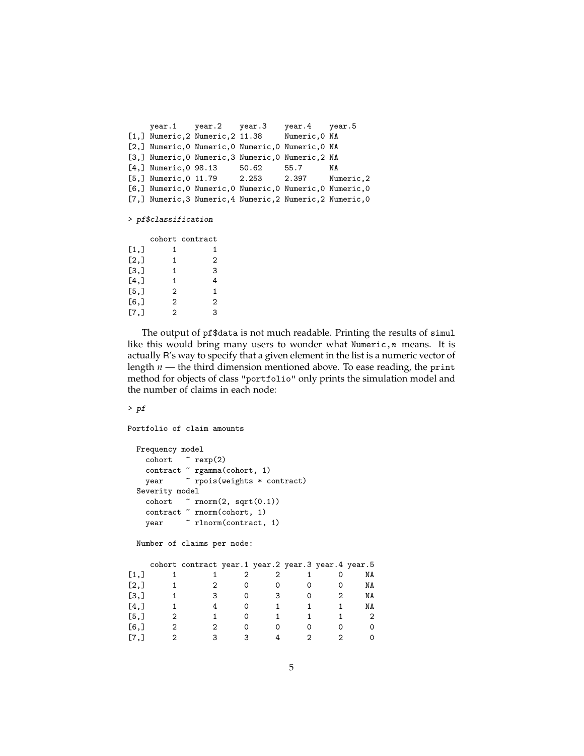```
year.1 year.2 year.3 year.4 year.5
[1,] Numeric,2 Numeric,2 11.38 Numeric,0 NA
[2,] Numeric,0 Numeric,0 Numeric,0 Numeric,0 NA
[3,] Numeric,0 Numeric,3 Numeric,0 Numeric,2 NA
[4,] Numeric,0 98.13 50.62 55.7 NA
[5,] Numeric,0 11.79 2.253 2.397 Numeric,2
[6,] Numeric,0 Numeric,0 Numeric,0 Numeric,0 Numeric,0
[7,] Numeric,3 Numeric,4 Numeric,2 Numeric,2 Numeric,0
```
> pf\$classification

|                    |   | cohort contract |
|--------------------|---|-----------------|
| $\left[1, \right]$ | 1 | 1               |
| [2,]               | 1 | 2               |
| $\mathbf{[3,]}$    | 1 | 3               |
| [4,]               | 1 | 4               |
| [5,1]              | 2 | 1               |
| [6, 1]             | 2 | 2               |
| [7.1               | 2 | 3               |

The output of pf\$data is not much readable. Printing the results of simul like this would bring many users to wonder what Numeric,  $n$  means. It is actually R's way to specify that a given element in the list is a numeric vector of length *n* — the third dimension mentioned above. To ease reading, the print method for objects of class "portfolio" only prints the simulation model and the number of claims in each node:

> pf

```
Portfolio of claim amounts
```

```
Frequency model
  \text{cohort} \sim \text{resp}(2)contract ~ rgamma(cohort, 1)
  year \sim rpois(weights * contract)
Severity model
  cohort \sim rnorm(2, \text{sqrt}(0.1))contract ~ rnorm(cohort, 1)
  year \sim rlnorm(contract, 1)
```
Number of claims per node:

|                      | cohort contract year.1 year.2 year.3 year.4 year.5 |  |  |    |
|----------------------|----------------------------------------------------|--|--|----|
| [1,]                 |                                                    |  |  | NA |
| [2,]                 |                                                    |  |  | NA |
| [3,]                 | з                                                  |  |  | NA |
| [4,]                 |                                                    |  |  | NA |
| [5,]                 |                                                    |  |  |    |
| [6,                  |                                                    |  |  |    |
| $\lbrack 7, \rbrack$ |                                                    |  |  |    |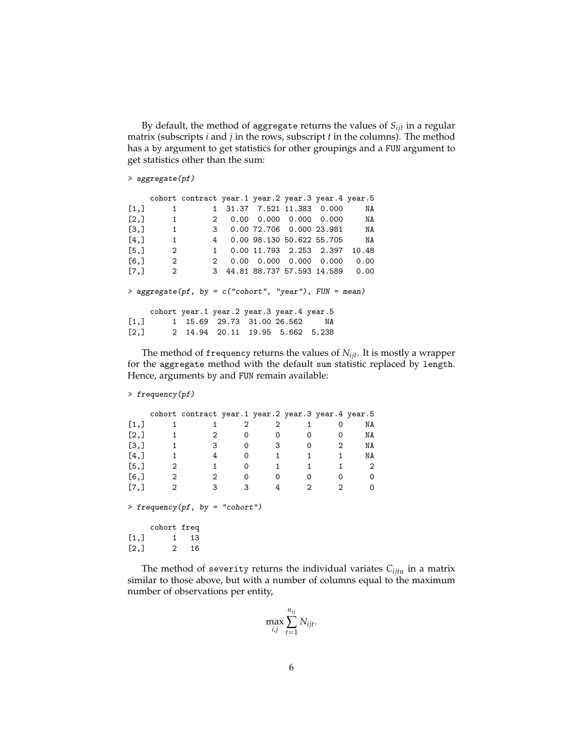By default, the method of aggregate returns the values of *Sijt* in a regular matrix (subscripts *i* and *j* in the rows, subscript *t* in the columns). The method has a by argument to get statistics for other groupings and a FUN argument to get statistics other than the sum:

> aggregate(pf)

|                      |                | cohort contract year.1 year.2 year.3 year.4 year.5      |                                 |                                            |    |      |
|----------------------|----------------|---------------------------------------------------------|---------------------------------|--------------------------------------------|----|------|
| [1,]                 | 1              |                                                         | 1 31.37 7.521 11.383 0.000      |                                            |    | NA   |
| $\lbrack 2, \rbrack$ | $\sim$ 1       | $\mathbf{2}$                                            |                                 | $0.00$ $0.000$ $0.000$ $0.000$ NA          |    |      |
| $\left[3, \right]$   | $\sim$ 1       |                                                         | 3 0.00 72.706 0.000 23.981 NA   |                                            |    |      |
| [4,]                 | $\overline{1}$ |                                                         | 4 0.00 98.130 50.622 55.705 NA  |                                            |    |      |
| [5,]                 | $\sim$ 2       |                                                         | 1 0.00 11.793 2.253 2.397 10.48 |                                            |    |      |
| [6,                  | $\overline{2}$ | $\overline{2}$                                          |                                 | $0.00 \quad 0.000 \quad 0.000 \quad 0.000$ |    | 0.00 |
| $\lbrack 7, \rbrack$ | $\overline{2}$ |                                                         | 3 44.81 88.737 57.593 14.589    |                                            |    | 0.00 |
|                      |                | > aggregate(pf, by = $c("cohort", "year"), FUN = mean)$ |                                 |                                            |    |      |
|                      |                | cohort year.1 year.2 year.3 year.4 year.5               |                                 |                                            |    |      |
|                      |                | $[1,]$ 1 15.69 29.73 31.00 26.562                       |                                 |                                            | NA |      |
|                      |                | $[2,]$ 2 14.94 20.11 19.95 5.662 5.238                  |                                 |                                            |    |      |
|                      |                |                                                         |                                 |                                            |    |      |

The method of frequency returns the values of *Nijt*. It is mostly a wrapper for the aggregate method with the default sum statistic replaced by length. Hence, arguments by and FUN remain available:

```
> frequency(pf)
```

|         |              | cohort contract year.1 year.2 year.3 year.4 year.5 |          |   |   |   |    |
|---------|--------------|----------------------------------------------------|----------|---|---|---|----|
| $[1,]$  |              |                                                    | 2        | 2 |   |   | ΝA |
| [2,]    |              | 2                                                  |          |   |   |   | ΝA |
| [3,]    |              | 3                                                  | 0        | 3 | ი | 2 | ΝA |
| [4,]    |              | 4                                                  | $\Omega$ |   | 1 | 1 | ΝA |
| [5,]    | 2            |                                                    | 0        |   |   |   | 2  |
| $[6,$ ] | $\mathbf{2}$ | 2                                                  | $\Omega$ | 0 | 0 |   | 0  |
| [7,]    | 2            | 3                                                  | 3        |   | 2 | 2 | 0  |
|         |              | > frequency(pf, by = "cohort")                     |          |   |   |   |    |
|         | cohort freq  |                                                    |          |   |   |   |    |
| [1,]    |              | 13                                                 |          |   |   |   |    |
| [2,]    | 2            | 16                                                 |          |   |   |   |    |

The method of severity returns the individual variates  $C_{ijtu}$  in a matrix similar to those above, but with a number of columns equal to the maximum number of observations per entity,

$$
\max_{i,j} \sum_{t=1}^{n_{ij}} N_{ijt}.
$$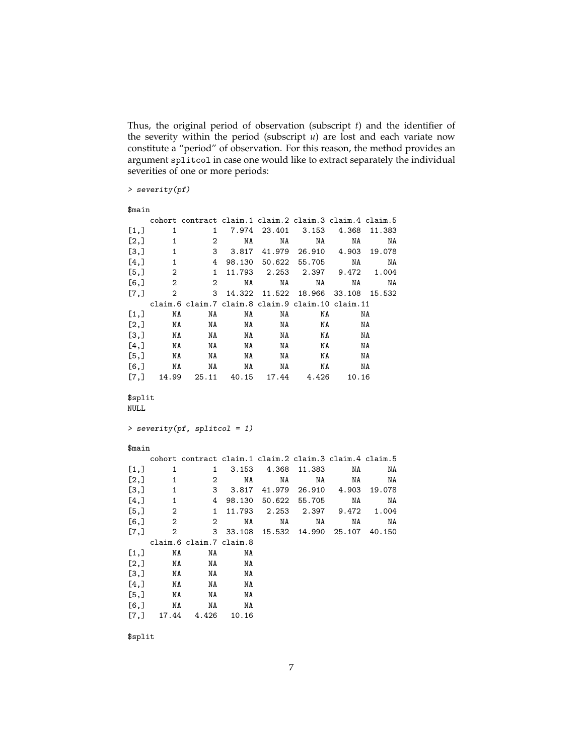Thus, the original period of observation (subscript *t*) and the identifier of the severity within the period (subscript *u*) are lost and each variate now constitute a "period" of observation. For this reason, the method provides an argument splitcol in case one would like to extract separately the individual severities of one or more periods:

> severity(pf)

```
$main
```

|              |                   | cohort contract claim.1 claim.2 claim.3 claim.4 claim.5 |                  |        |                                      |             |              |
|--------------|-------------------|---------------------------------------------------------|------------------|--------|--------------------------------------|-------------|--------------|
| [1,]         | 1                 | 1                                                       | 7.974            | 23.401 | 3.153                                | 4.368       | 11.383       |
| [2,]         | $\mathbf 1$       | $\mathbf{2}$                                            | NA               | NA     | NA                                   | NA          | NA           |
| [3,]         | 1                 | 3                                                       |                  |        | 3.817 41.979 26.910                  | 4.903       | 19.078       |
| [4,]         | 1                 | 4                                                       |                  |        | 98.130 50.622 55.705                 | NA          | NA           |
| [5,]         | 2                 | 1                                                       | 11.793           | 2.253  | 2.397                                | 9.472       | 1.004        |
| $[6,$ ]      | $\overline{2}$    | $\overline{2}$                                          | NA               | NA     | ΝA                                   | NA          | ΝA           |
| [7,]         | $\overline{2}$    | 3                                                       | 14.322           |        | 11.522 18.966                        | 33.108      | 15.532       |
|              |                   | claim.6 claim.7 claim.8 claim.9 claim.10 claim.11       |                  |        |                                      |             |              |
| [1,]         | NA                | NA                                                      | NA               | NA     | NA                                   |             | NA           |
| [2,]         | NA                | ΝA                                                      | NA               | NA     | NA                                   |             | NA           |
| [3,]         | NA                | NA                                                      | NA               | NA     | NA                                   |             | NA           |
| [4,]         | NA                | NA                                                      | NA               | NA     | NA                                   |             | NA           |
| [5,]         | NA                | NA                                                      | NA               | NA     | NA                                   |             | NA           |
| [6,]         | NA                | NA                                                      | NA               | NA     | NA                                   |             | NA           |
| [7,]         | 14.99             | 25.11                                                   | 40.15            |        | 17.44 4.426                          | 10.16       |              |
| NULL         |                   |                                                         |                  |        |                                      |             |              |
|              |                   | $>$ severity(pf, splitcol = 1)                          |                  |        |                                      |             |              |
| $$$ main     |                   |                                                         |                  |        |                                      |             |              |
|              |                   | cohort contract claim.1 claim.2 claim.3 claim.4 claim.5 |                  |        |                                      |             |              |
| [1,]         | 1                 | 1                                                       | 3.153            | 4.368  | 11.383                               | ΝA          | NA           |
| [2,]         | 1<br>$\mathbf{1}$ | 2<br>3                                                  | NA               | NA     | ΝA                                   | NA<br>4.903 | ΝA<br>19.078 |
| [3,]         | $\mathbf{1}$      | 4                                                       |                  |        | 3.817 41.979 26.910<br>50.622 55.705 | NA          | NA           |
| [4,]<br>[5,] | $\overline{2}$    | $\mathbf{1}$                                            | 98.130<br>11.793 | 2.253  | 2.397                                | 9.472       | 1.004        |
| [6,]         | 2                 | $\overline{2}$                                          | NA               | NA     | ΝA                                   | NA          | ΝA           |
| [7,]         | $\overline{2}$    | 3                                                       | 33.108           |        | 15.532 14.990 25.107 40.150          |             |              |
|              |                   | claim.6 claim.7 claim.8                                 |                  |        |                                      |             |              |
| [1,]         | NA                | ΝA                                                      | ΝA               |        |                                      |             |              |
| [2,]         | NA                | NA                                                      | NA               |        |                                      |             |              |
| [3,]         | NA                | ΝA                                                      | ΝA               |        |                                      |             |              |
| [4,]         | NA                | ΝA                                                      | ΝA               |        |                                      |             |              |
| [5,]         | NA                | NA                                                      | ΝA               |        |                                      |             |              |
| [6,]         | NA                | ΝA                                                      | ΝA               |        |                                      |             |              |

\$split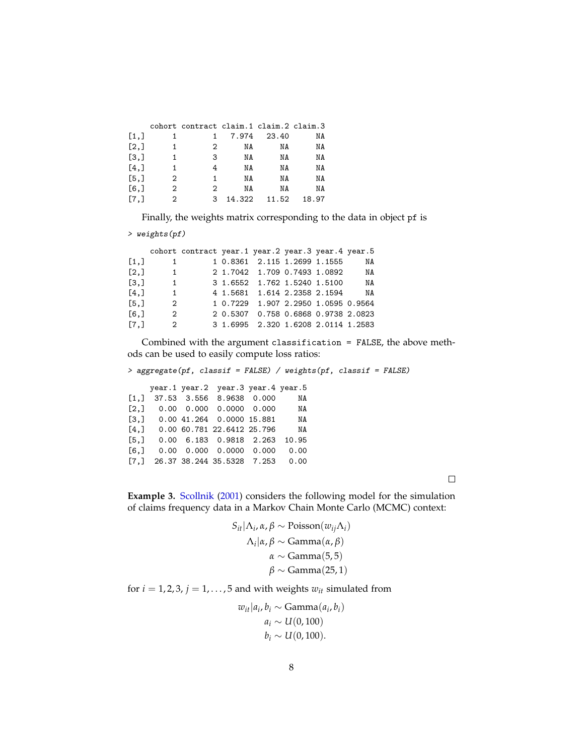|                      |                | cohort contract claim.1 claim.2 claim.3 |        |       |       |
|----------------------|----------------|-----------------------------------------|--------|-------|-------|
| $\left[1, \right]$   | 1              |                                         | 7.974  | 23.40 | NA    |
| $\left[2, \right]$   | 1              | 2                                       | NA     | ΝA    | NA    |
| $\left[3, \right]$   | 1              | 3                                       | ΝA     | ΝA    | NA    |
| [4,]                 | 1              | 4                                       | ΝA     | ΝA    | NA    |
| [5,]                 | 2              | 1                                       | ΝA     | ΝA    | NA    |
| [6,]                 | $\overline{2}$ | 2                                       | ΝA     | ΝA    | NA    |
| $\lbrack 7, \rbrack$ | 2              | 3                                       | 14.322 | 11.52 | 18.97 |

Finally, the weights matrix corresponding to the data in object pf is

> weights(pf)

|              |                                                        |  | NA                                                                                                                                                                                                                                                                                                      |
|--------------|--------------------------------------------------------|--|---------------------------------------------------------------------------------------------------------------------------------------------------------------------------------------------------------------------------------------------------------------------------------------------------------|
|              |                                                        |  | NA                                                                                                                                                                                                                                                                                                      |
| 1            |                                                        |  | NA                                                                                                                                                                                                                                                                                                      |
| $\mathbf{1}$ |                                                        |  | NA                                                                                                                                                                                                                                                                                                      |
|              |                                                        |  |                                                                                                                                                                                                                                                                                                         |
|              |                                                        |  |                                                                                                                                                                                                                                                                                                         |
|              |                                                        |  |                                                                                                                                                                                                                                                                                                         |
|              | $\mathbf{1}$<br>$\overline{\mathbf{1}}$<br>2<br>2<br>2 |  | cohort contract year.1 year.2 year.3 year.4 year.5<br>1 0.8361 2.115 1.2699 1.1555<br>2 1.7042 1.709 0.7493 1.0892<br>3 1.6552 1.762 1.5240 1.5100<br>4 1.5681 1.614 2.2358 2.1594<br>1 0.7229 1.907 2.2950 1.0595 0.9564<br>2 0.5307 0.758 0.6868 0.9738 2.0823<br>3 1.6995 2.320 1.6208 2.0114 1.2583 |

Combined with the argument classification = FALSE, the above methods can be used to easily compute loss ratios:

> aggregate(pf, classif = FALSE) / weights(pf, classif = FALSE)

|                    |  | year.1 year.2 year.3 year.4 year.5          |       |
|--------------------|--|---------------------------------------------|-------|
| [1,]               |  | 37.53 3.556 8.9638 0.000                    | NA    |
| [2,]               |  | $0.00 \quad 0.000 \quad 0.0000 \quad 0.000$ | NA    |
| $\left[3, \right]$ |  | 0.00 41.264 0.0000 15.881                   | NA    |
| [4,]               |  | 0.00 60.781 22.6412 25.796                  | NA    |
| [5,]               |  | 0.00 6.183 0.9818 2.263                     | 10.95 |
| [6, 1]             |  | $0.00 \quad 0.000 \quad 0.0000 \quad 0.000$ | 0.00  |
| r.1                |  | 26.37 38.244 35.5328 7.253                  | 0.00  |

 $\Box$ 

**Example 3.** [Scollnik](#page-8-1) [\(2001\)](#page-8-1) considers the following model for the simulation of claims frequency data in a Markov Chain Monte Carlo (MCMC) context:

$$
S_{it}|\Lambda_i, \alpha, \beta \sim \text{Poisson}(w_{ij}\Lambda_i)
$$

$$
\Lambda_i|\alpha, \beta \sim \text{Gamma}(\alpha, \beta)
$$

$$
\alpha \sim \text{Gamma}(5,5)
$$

$$
\beta \sim \text{Gamma}(25,1)
$$

for  $i = 1, 2, 3, j = 1, \ldots, 5$  and with weights  $w_{it}$  simulated from

$$
w_{it}|a_i, b_i \sim \text{Gamma}(a_i, b_i)
$$
  

$$
a_i \sim U(0, 100)
$$
  

$$
b_i \sim U(0, 100).
$$